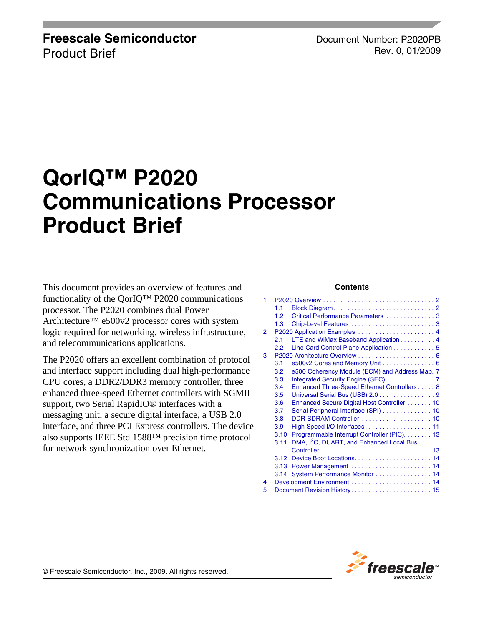#### **Freescale Semiconductor** Product Brief

Document Number: P2020PB Rev. 0, 01/2009

# **QorIQ™ P2020 Communications Processor Product Brief**

This document provides an overview of features and functionality of the QorIQ™ P2020 communications processor. The P2020 combines dual Power Architecture™ e500v2 processor cores with system logic required for networking, wireless infrastructure, and telecommunications applications.

The P2020 offers an excellent combination of protocol and interface support including dual high-performance CPU cores, a DDR2/DDR3 memory controller, three enhanced three-speed Ethernet controllers with SGMII support, two Serial RapidIO® interfaces with a messaging unit, a secure digital interface, a USB 2.0 interface, and three PCI Express controllers. The device also supports IEEE Std 1588™ precision time protocol for network synchronization over Ethernet.

#### **Contents**

| 1 |               |                                                      |  |  |
|---|---------------|------------------------------------------------------|--|--|
|   | 1.1           |                                                      |  |  |
|   | 1.2           | Critical Performance Parameters 3                    |  |  |
|   | 1.3           |                                                      |  |  |
| 2 |               |                                                      |  |  |
|   | 2.1           | LTE and WiMax Baseband Application 4                 |  |  |
|   | $2.2^{\circ}$ | Line Card Control Plane Application 5                |  |  |
| 3 |               |                                                      |  |  |
|   | 3.1           | e500v2 Cores and Memory Unit 6                       |  |  |
|   | 3.2           | e500 Coherency Module (ECM) and Address Map. 7       |  |  |
|   | 3.3           | Integrated Security Engine (SEC) 7                   |  |  |
|   | 3.4           | Enhanced Three-Speed Ethernet Controllers 8          |  |  |
|   | 3.5           | Universal Serial Bus (USB) 2.0 9                     |  |  |
|   | 3.6           | Enhanced Secure Digital Host Controller 10           |  |  |
|   | 3.7           | Serial Peripheral Interface (SPI)  10                |  |  |
|   | 3.8           | DDR SDRAM Controller  10                             |  |  |
|   | 3.9           | High Speed I/O Interfaces 11                         |  |  |
|   | 3.10          | Programmable Interrupt Controller (PIC). 13          |  |  |
|   | 3.11          | DMA, I <sup>2</sup> C, DUART, and Enhanced Local Bus |  |  |
|   |               |                                                      |  |  |
|   | 3.12          |                                                      |  |  |
|   | 3.13          |                                                      |  |  |
|   | 3.14          | System Performance Monitor  14                       |  |  |
| 4 |               |                                                      |  |  |
| 5 |               |                                                      |  |  |

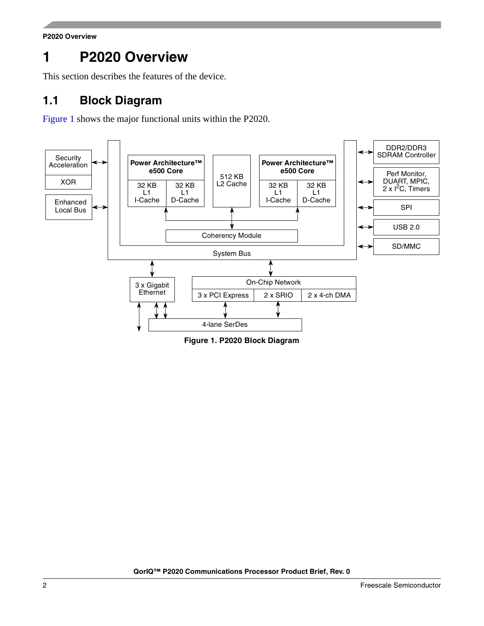**P2020 Overview**

# <span id="page-1-0"></span>**1 P2020 Overview**

This section describes the features of the device.

### <span id="page-1-1"></span>**1.1 Block Diagram**

[Figure 1](#page-1-2) shows the major functional units within the P2020.



<span id="page-1-2"></span>**Figure 1. P2020 Block Diagram**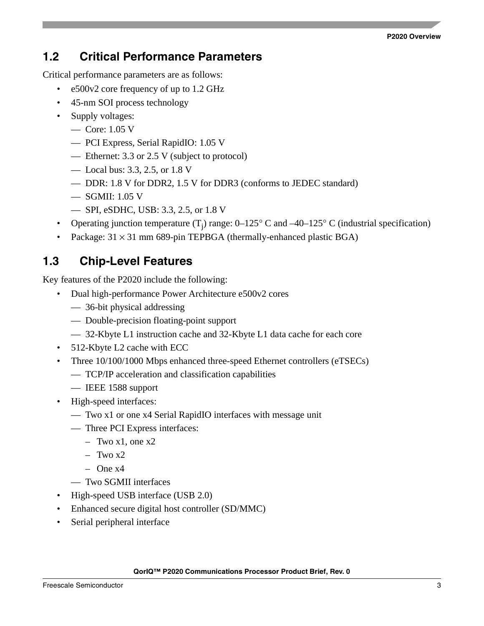#### **P2020 Overview**

#### <span id="page-2-0"></span>**1.2 Critical Performance Parameters**

Critical performance parameters are as follows:

- e500v2 core frequency of up to 1.2 GHz
- 45-nm SOI process technology
- Supply voltages:
	- Core: 1.05 V
	- PCI Express, Serial RapidIO: 1.05 V
	- Ethernet: 3.3 or 2.5 V (subject to protocol)
	- Local bus: 3.3, 2.5, or 1.8 V
	- DDR: 1.8 V for DDR2, 1.5 V for DDR3 (conforms to JEDEC standard)
	- SGMII: 1.05 V
	- SPI, eSDHC, USB: 3.3, 2.5, or 1.8 V
- Operating junction temperature  $(T_j)$  range: 0–125° C and –40–125° C (industrial specification)
- Package:  $31 \times 31$  mm 689-pin TEPBGA (thermally-enhanced plastic BGA)

### <span id="page-2-1"></span>**1.3 Chip-Level Features**

Key features of the P2020 include the following:

- Dual high-performance Power Architecture e500v2 cores
	- 36-bit physical addressing
	- Double-precision floating-point support
	- 32-Kbyte L1 instruction cache and 32-Kbyte L1 data cache for each core
- 512-Kbyte L2 cache with ECC
- Three 10/100/1000 Mbps enhanced three-speed Ethernet controllers (eTSECs)
	- TCP/IP acceleration and classification capabilities
	- IEEE 1588 support
- High-speed interfaces:
	- Two x1 or one x4 Serial RapidIO interfaces with message unit
	- Three PCI Express interfaces:
		- $-$  Two x1, one x2
		- $-$  Two  $x2$
		- One x4
	- Two SGMII interfaces
- High-speed USB interface (USB 2.0)
- Enhanced secure digital host controller (SD/MMC)
- Serial peripheral interface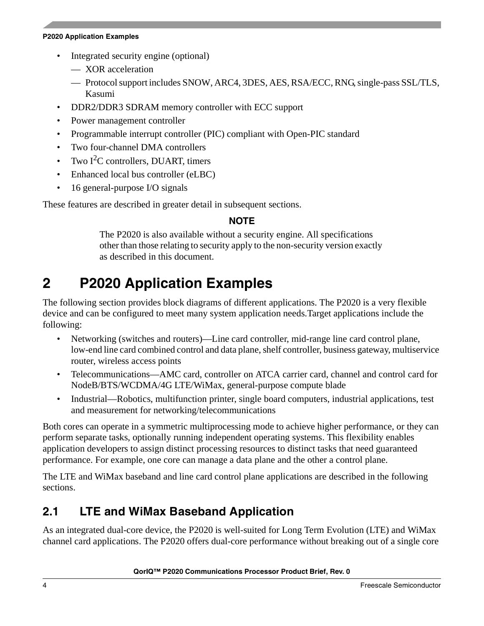#### **P2020 Application Examples**

- Integrated security engine (optional)
	- XOR acceleration
	- Protocol support includes SNOW, ARC4, 3DES, AES, RSA/ECC, RNG, single-pass SSL/TLS, Kasumi
- DDR2/DDR3 SDRAM memory controller with ECC support
- Power management controller
- Programmable interrupt controller (PIC) compliant with Open-PIC standard
- Two four-channel DMA controllers
- Two  $I<sup>2</sup>C$  controllers, DUART, timers
- Enhanced local bus controller (eLBC)
- 16 general-purpose I/O signals

These features are described in greater detail in subsequent sections.

#### **NOTE**

The P2020 is also available without a security engine. All specifications other than those relating to security apply to the non-security version exactly as described in this document.

# <span id="page-3-0"></span>**2 P2020 Application Examples**

The following section provides block diagrams of different applications. The P2020 is a very flexible device and can be configured to meet many system application needs.Target applications include the following:

- Networking (switches and routers)—Line card controller, mid-range line card control plane, low-end line card combined control and data plane, shelf controller, business gateway, multiservice router, wireless access points
- Telecommunications—AMC card, controller on ATCA carrier card, channel and control card for NodeB/BTS/WCDMA/4G LTE/WiMax, general-purpose compute blade
- Industrial—Robotics, multifunction printer, single board computers, industrial applications, test and measurement for networking/telecommunications

Both cores can operate in a symmetric multiprocessing mode to achieve higher performance, or they can perform separate tasks, optionally running independent operating systems. This flexibility enables application developers to assign distinct processing resources to distinct tasks that need guaranteed performance. For example, one core can manage a data plane and the other a control plane.

The LTE and WiMax baseband and line card control plane applications are described in the following sections.

### <span id="page-3-1"></span>**2.1 LTE and WiMax Baseband Application**

As an integrated dual-core device, the P2020 is well-suited for Long Term Evolution (LTE) and WiMax channel card applications. The P2020 offers dual-core performance without breaking out of a single core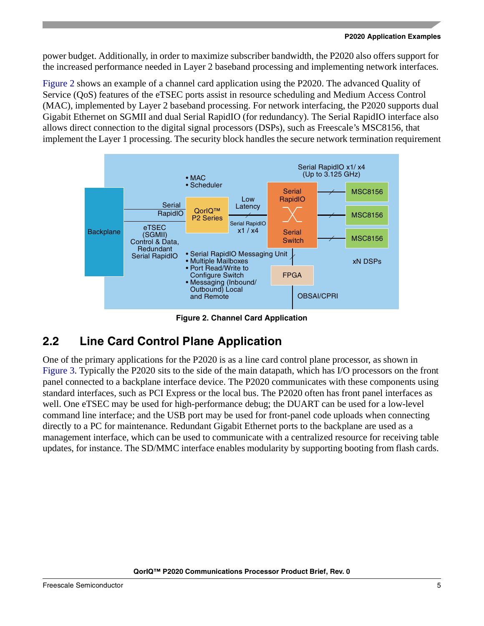#### **P2020 Application Examples**

power budget. Additionally, in order to maximize subscriber bandwidth, the P2020 also offers support for the increased performance needed in Layer 2 baseband processing and implementing network interfaces.

[Figure 2](#page-4-1) shows an example of a channel card application using the P2020. The advanced Quality of Service (QoS) features of the eTSEC ports assist in resource scheduling and Medium Access Control (MAC), implemented by Layer 2 baseband processing. For network interfacing, the P2020 supports dual Gigabit Ethernet on SGMII and dual Serial RapidIO (for redundancy). The Serial RapidIO interface also allows direct connection to the digital signal processors (DSPs), such as Freescale's MSC8156, that implement the Layer 1 processing. The security block handles the secure network termination requirement



**Figure 2. Channel Card Application**

# <span id="page-4-1"></span><span id="page-4-0"></span>**2.2 Line Card Control Plane Application**

One of the primary applications for the P2020 is as a line card control plane processor, as shown in [Figure 3](#page-5-2). Typically the P2020 sits to the side of the main datapath, which has I/O processors on the front panel connected to a backplane interface device. The P2020 communicates with these components using standard interfaces, such as PCI Express or the local bus. The P2020 often has front panel interfaces as well. One eTSEC may be used for high-performance debug; the DUART can be used for a low-level command line interface; and the USB port may be used for front-panel code uploads when connecting directly to a PC for maintenance. Redundant Gigabit Ethernet ports to the backplane are used as a management interface, which can be used to communicate with a centralized resource for receiving table updates, for instance. The SD/MMC interface enables modularity by supporting booting from flash cards.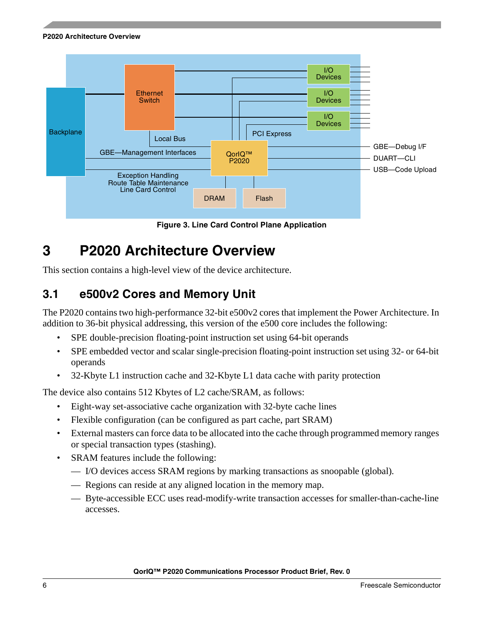**P2020 Architecture Overview**



**Figure 3. Line Card Control Plane Application**

# <span id="page-5-2"></span><span id="page-5-0"></span>**3 P2020 Architecture Overview**

This section contains a high-level view of the device architecture.

### <span id="page-5-1"></span>**3.1 e500v2 Cores and Memory Unit**

The P2020 contains two high-performance 32-bit e500v2 cores that implement the Power Architecture. In addition to 36-bit physical addressing, this version of the e500 core includes the following:

- SPE double-precision floating-point instruction set using 64-bit operands
- SPE embedded vector and scalar single-precision floating-point instruction set using 32- or 64-bit operands
- 32-Kbyte L1 instruction cache and 32-Kbyte L1 data cache with parity protection

The device also contains 512 Kbytes of L2 cache/SRAM, as follows:

- Eight-way set-associative cache organization with 32-byte cache lines
- Flexible configuration (can be configured as part cache, part SRAM)
- External masters can force data to be allocated into the cache through programmed memory ranges or special transaction types (stashing).
- SRAM features include the following:
	- I/O devices access SRAM regions by marking transactions as snoopable (global).
	- Regions can reside at any aligned location in the memory map.
	- Byte-accessible ECC uses read-modify-write transaction accesses for smaller-than-cache-line accesses.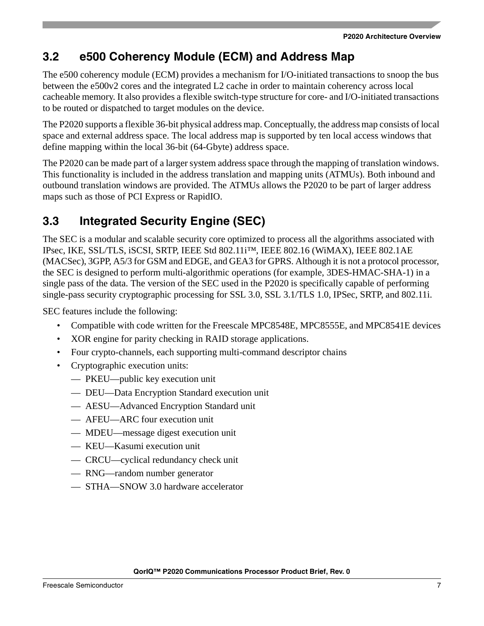### <span id="page-6-0"></span>**3.2 e500 Coherency Module (ECM) and Address Map**

The e500 coherency module (ECM) provides a mechanism for I/O-initiated transactions to snoop the bus between the e500v2 cores and the integrated L2 cache in order to maintain coherency across local cacheable memory. It also provides a flexible switch-type structure for core- and I/O-initiated transactions to be routed or dispatched to target modules on the device.

The P2020 supports a flexible 36-bit physical address map. Conceptually, the address map consists of local space and external address space. The local address map is supported by ten local access windows that define mapping within the local 36-bit (64-Gbyte) address space.

The P2020 can be made part of a larger system address space through the mapping of translation windows. This functionality is included in the address translation and mapping units (ATMUs). Both inbound and outbound translation windows are provided. The ATMUs allows the P2020 to be part of larger address maps such as those of PCI Express or RapidIO.

# <span id="page-6-1"></span>**3.3 Integrated Security Engine (SEC)**

The SEC is a modular and scalable security core optimized to process all the algorithms associated with IPsec, IKE, SSL/TLS, iSCSI, SRTP, IEEE Std 802.11i™, IEEE 802.16 (WiMAX), IEEE 802.1AE (MACSec), 3GPP, A5/3 for GSM and EDGE, and GEA3 for GPRS. Although it is not a protocol processor, the SEC is designed to perform multi-algorithmic operations (for example, 3DES-HMAC-SHA-1) in a single pass of the data. The version of the SEC used in the P2020 is specifically capable of performing single-pass security cryptographic processing for SSL 3.0, SSL 3.1/TLS 1.0, IPSec, SRTP, and 802.11i.

SEC features include the following:

- Compatible with code written for the Freescale MPC8548E, MPC8555E, and MPC8541E devices
- XOR engine for parity checking in RAID storage applications.
- Four crypto-channels, each supporting multi-command descriptor chains
- Cryptographic execution units:
	- PKEU—public key execution unit
	- DEU—Data Encryption Standard execution unit
	- AESU—Advanced Encryption Standard unit
	- AFEU—ARC four execution unit
	- MDEU—message digest execution unit
	- KEU—Kasumi execution unit
	- CRCU—cyclical redundancy check unit
	- RNG—random number generator
	- STHA—SNOW 3.0 hardware accelerator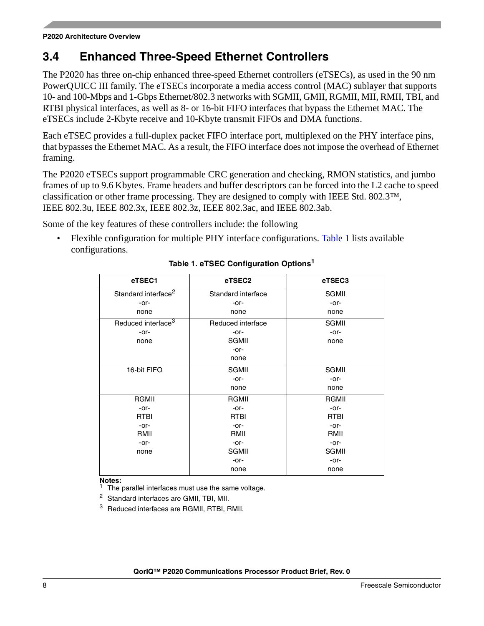### <span id="page-7-0"></span>**3.4 Enhanced Three-Speed Ethernet Controllers**

The P2020 has three on-chip enhanced three-speed Ethernet controllers (eTSECs), as used in the 90 nm PowerQUICC III family. The eTSECs incorporate a media access control (MAC) sublayer that supports 10- and 100-Mbps and 1-Gbps Ethernet/802.3 networks with SGMII, GMII, RGMII, MII, RMII, TBI, and RTBI physical interfaces, as well as 8- or 16-bit FIFO interfaces that bypass the Ethernet MAC. The eTSECs include 2-Kbyte receive and 10-Kbyte transmit FIFOs and DMA functions.

Each eTSEC provides a full-duplex packet FIFO interface port, multiplexed on the PHY interface pins, that bypasses the Ethernet MAC. As a result, the FIFO interface does not impose the overhead of Ethernet framing.

The P2020 eTSECs support programmable CRC generation and checking, RMON statistics, and jumbo frames of up to 9.6 Kbytes. Frame headers and buffer descriptors can be forced into the L2 cache to speed classification or other frame processing. They are designed to comply with IEEE Std. 802.3™, IEEE 802.3u, IEEE 802.3x, IEEE 802.3z, IEEE 802.3ac, and IEEE 802.3ab.

Some of the key features of these controllers include: the following

<span id="page-7-1"></span>• Flexible configuration for multiple PHY interface configurations. [Table 1](#page-7-1) lists available configurations.

| eTSEC1                          | eTSEC2             | eTSEC3       |  |
|---------------------------------|--------------------|--------------|--|
| Standard interface <sup>2</sup> | Standard interface | <b>SGMII</b> |  |
| $-0r-$                          | -or-               | $-0r-$       |  |
| none                            | none               | none         |  |
| Reduced interface <sup>3</sup>  | Reduced interface  | SGMII        |  |
| -or-                            | -or-               | $-0r-$       |  |
| none                            | <b>SGMII</b>       | none         |  |
|                                 | -or-               |              |  |
|                                 | none               |              |  |
| 16-bit FIFO                     | SGMII              | SGMII        |  |
|                                 | -or-               | $-0r-$       |  |
|                                 | none               | none         |  |
| RGMII                           | RGMII              | RGMII        |  |
| -or-                            | -or-               | $-0r-$       |  |
| RTBI                            | RTBI               | RTBI         |  |
| -or-                            | -or-               | -or-         |  |
| RMII                            | RMII               | RMII         |  |
| $-0r-$                          | -or-               | -or-         |  |
| none                            | <b>SGMII</b>       | <b>SGMII</b> |  |
|                                 | -or-               | $-0r-$       |  |
|                                 | none               | none         |  |

#### **Table 1. eTSEC Configuration Options<sup>1</sup>**

**Notes:**

The parallel interfaces must use the same voltage.

<sup>2</sup> Standard interfaces are GMII, TBI, MII.

<sup>3</sup> Reduced interfaces are RGMII, RTBI, RMII.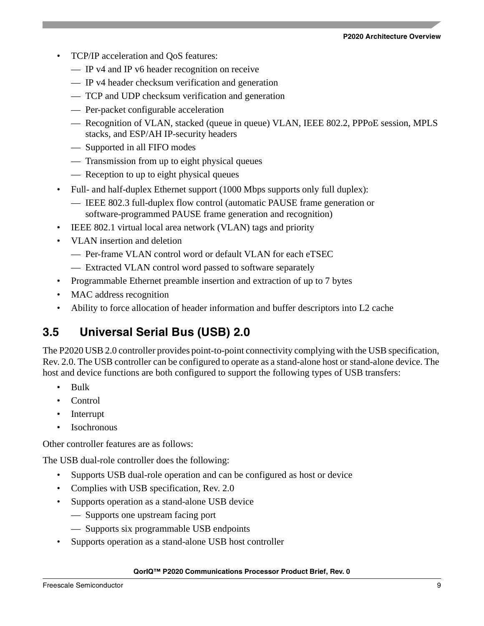- TCP/IP acceleration and QoS features:
	- IP v4 and IP v6 header recognition on receive
	- IP v4 header checksum verification and generation
	- TCP and UDP checksum verification and generation
	- Per-packet configurable acceleration
	- Recognition of VLAN, stacked (queue in queue) VLAN, IEEE 802.2, PPPoE session, MPLS stacks, and ESP/AH IP-security headers
	- Supported in all FIFO modes
	- Transmission from up to eight physical queues
	- Reception to up to eight physical queues
- Full- and half-duplex Ethernet support (1000 Mbps supports only full duplex):
	- IEEE 802.3 full-duplex flow control (automatic PAUSE frame generation or software-programmed PAUSE frame generation and recognition)
- IEEE 802.1 virtual local area network (VLAN) tags and priority
- VLAN insertion and deletion
	- Per-frame VLAN control word or default VLAN for each eTSEC
	- Extracted VLAN control word passed to software separately
- Programmable Ethernet preamble insertion and extraction of up to 7 bytes
- MAC address recognition
- Ability to force allocation of header information and buffer descriptors into L2 cache

#### <span id="page-8-0"></span>**3.5 Universal Serial Bus (USB) 2.0**

The P2020 USB 2.0 controller provides point-to-point connectivity complying with the USB specification, Rev. 2.0. The USB controller can be configured to operate as a stand-alone host or stand-alone device. The host and device functions are both configured to support the following types of USB transfers:

- Bulk
- Control
- **Interrupt**
- **Isochronous**

Other controller features are as follows:

The USB dual-role controller does the following:

- Supports USB dual-role operation and can be configured as host or device
- Complies with USB specification, Rev. 2.0
- Supports operation as a stand-alone USB device
	- Supports one upstream facing port
	- Supports six programmable USB endpoints
- Supports operation as a stand-alone USB host controller

#### **QorIQ™ P2020 Communications Processor Product Brief, Rev. 0**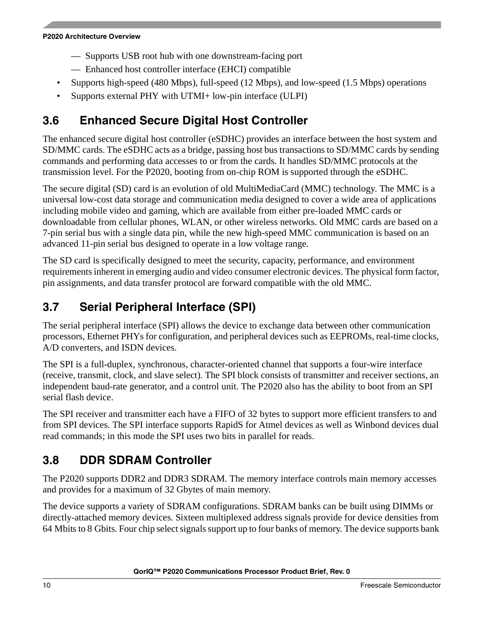#### **P2020 Architecture Overview**

- Supports USB root hub with one downstream-facing port
- Enhanced host controller interface (EHCI) compatible
- Supports high-speed (480 Mbps), full-speed (12 Mbps), and low-speed (1.5 Mbps) operations
- Supports external PHY with UTMI+ low-pin interface (ULPI)

# <span id="page-9-0"></span>**3.6 Enhanced Secure Digital Host Controller**

The enhanced secure digital host controller (eSDHC) provides an interface between the host system and SD/MMC cards. The eSDHC acts as a bridge, passing host bus transactions to SD/MMC cards by sending commands and performing data accesses to or from the cards. It handles SD/MMC protocols at the transmission level. For the P2020, booting from on-chip ROM is supported through the eSDHC.

The secure digital (SD) card is an evolution of old MultiMediaCard (MMC) technology. The MMC is a universal low-cost data storage and communication media designed to cover a wide area of applications including mobile video and gaming, which are available from either pre-loaded MMC cards or downloadable from cellular phones, WLAN, or other wireless networks. Old MMC cards are based on a 7-pin serial bus with a single data pin, while the new high-speed MMC communication is based on an advanced 11-pin serial bus designed to operate in a low voltage range.

The SD card is specifically designed to meet the security, capacity, performance, and environment requirements inherent in emerging audio and video consumer electronic devices. The physical form factor, pin assignments, and data transfer protocol are forward compatible with the old MMC.

### <span id="page-9-1"></span>**3.7 Serial Peripheral Interface (SPI)**

The serial peripheral interface (SPI) allows the device to exchange data between other communication processors, Ethernet PHYs for configuration, and peripheral devices such as EEPROMs, real-time clocks, A/D converters, and ISDN devices.

The SPI is a full-duplex, synchronous, character-oriented channel that supports a four-wire interface (receive, transmit, clock, and slave select). The SPI block consists of transmitter and receiver sections, an independent baud-rate generator, and a control unit. The P2020 also has the ability to boot from an SPI serial flash device.

The SPI receiver and transmitter each have a FIFO of 32 bytes to support more efficient transfers to and from SPI devices. The SPI interface supports RapidS for Atmel devices as well as Winbond devices dual read commands; in this mode the SPI uses two bits in parallel for reads.

# <span id="page-9-2"></span>**3.8 DDR SDRAM Controller**

The P2020 supports DDR2 and DDR3 SDRAM. The memory interface controls main memory accesses and provides for a maximum of 32 Gbytes of main memory.

The device supports a variety of SDRAM configurations. SDRAM banks can be built using DIMMs or directly-attached memory devices. Sixteen multiplexed address signals provide for device densities from 64 Mbits to 8 Gbits. Four chip select signals support up to four banks of memory. The device supports bank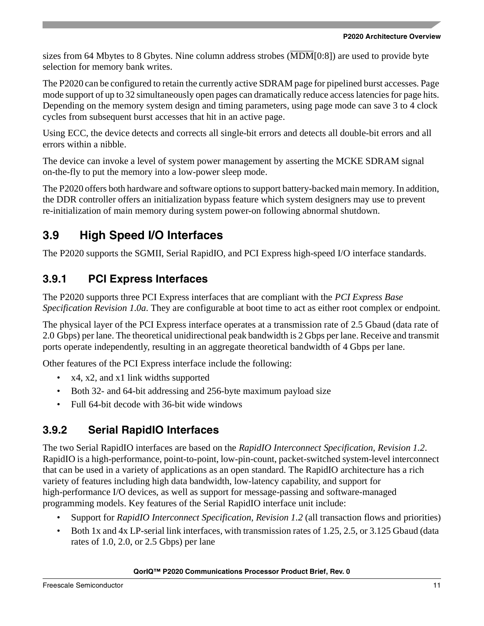sizes from 64 Mbytes to 8 Gbytes. Nine column address strobes (MDM[0:8]) are used to provide byte selection for memory bank writes.

The P2020 can be configured to retain the currently active SDRAM page for pipelined burst accesses. Page mode support of up to 32 simultaneously open pages can dramatically reduce access latencies for page hits. Depending on the memory system design and timing parameters, using page mode can save 3 to 4 clock cycles from subsequent burst accesses that hit in an active page.

Using ECC, the device detects and corrects all single-bit errors and detects all double-bit errors and all errors within a nibble.

The device can invoke a level of system power management by asserting the MCKE SDRAM signal on-the-fly to put the memory into a low-power sleep mode.

The P2020 offers both hardware and software options to support battery-backed main memory. In addition, the DDR controller offers an initialization bypass feature which system designers may use to prevent re-initialization of main memory during system power-on following abnormal shutdown.

### <span id="page-10-0"></span>**3.9 High Speed I/O Interfaces**

The P2020 supports the SGMII, Serial RapidIO, and PCI Express high-speed I/O interface standards.

### **3.9.1 PCI Express Interfaces**

The P2020 supports three PCI Express interfaces that are compliant with the *PCI Express Base Specification Revision 1.0a*. They are configurable at boot time to act as either root complex or endpoint.

The physical layer of the PCI Express interface operates at a transmission rate of 2.5 Gbaud (data rate of 2.0 Gbps) per lane. The theoretical unidirectional peak bandwidth is 2 Gbps per lane. Receive and transmit ports operate independently, resulting in an aggregate theoretical bandwidth of 4 Gbps per lane.

Other features of the PCI Express interface include the following:

- x4, x2, and x1 link widths supported
- Both 32- and 64-bit addressing and 256-byte maximum payload size
- Full 64-bit decode with 36-bit wide windows

### **3.9.2 Serial RapidIO Interfaces**

The two Serial RapidIO interfaces are based on the *RapidIO Interconnect Specification, Revision 1.2*. RapidIO is a high-performance, point-to-point, low-pin-count, packet-switched system-level interconnect that can be used in a variety of applications as an open standard. The RapidIO architecture has a rich variety of features including high data bandwidth, low-latency capability, and support for high-performance I/O devices, as well as support for message-passing and software-managed programming models. Key features of the Serial RapidIO interface unit include:

- Support for *RapidIO Interconnect Specification, Revision 1.2* (all transaction flows and priorities)
- Both 1x and 4x LP-serial link interfaces, with transmission rates of 1.25, 2.5, or 3.125 Gbaud (data rates of 1.0, 2.0, or 2.5 Gbps) per lane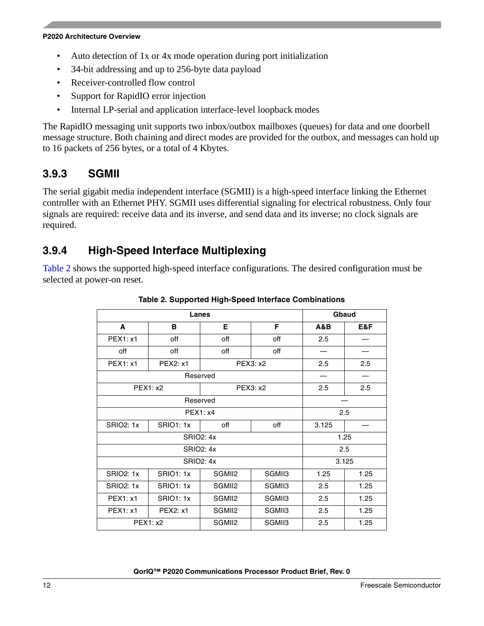#### **P2020 Architecture Overview**

- Auto detection of 1x or 4x mode operation during port initialization
- 34-bit addressing and up to 256-byte data payload
- Receiver-controlled flow control
- Support for RapidIO error injection
- Internal LP-serial and application interface-level loopback modes

The RapidIO messaging unit supports two inbox/outbox mailboxes (queues) for data and one doorbell message structure. Both chaining and direct modes are provided for the outbox, and messages can hold up to 16 packets of 256 bytes, or a total of 4 Kbytes.

#### **3.9.3 SGMII**

The serial gigabit media independent interface (SGMII) is a high-speed interface linking the Ethernet controller with an Ethernet PHY. SGMII uses differential signaling for electrical robustness. Only four signals are required: receive data and its inverse, and send data and its inverse; no clock signals are required.

#### **3.9.4 High-Speed Interface Multiplexing**

<span id="page-11-0"></span>[Table 2](#page-11-0) shows the supported high-speed interface configurations. The desired configuration must be selected at power-on reset.

|                  | Gbaud            |                  |        |       |       |
|------------------|------------------|------------------|--------|-------|-------|
| A                | в                | E.               | F      | A&B   | E&F   |
| PEX1: x1         | off              | off              | off    | 2.5   |       |
| off              | off              | off              | off    |       |       |
| <b>PEX1: x1</b>  | PEX2: x1         | PEX3: x2         |        | 2.5   | 2.5   |
|                  | Reserved         |                  |        |       |       |
|                  | <b>PEX1: x2</b>  | PEX3: x2         |        | 2.5   | 2.5   |
| Reserved         |                  |                  |        |       |       |
|                  | <b>PEX1: x4</b>  |                  | 2.5    |       |       |
| <b>SRIO2: 1x</b> | <b>SRIO1: 1x</b> | off              | off    | 3.125 |       |
|                  | <b>SRIO2: 4x</b> |                  |        | 1.25  |       |
|                  |                  | <b>SRIO2: 4x</b> |        | 2.5   |       |
|                  |                  | <b>SRIO2: 4x</b> |        |       | 3.125 |
| <b>SRIO2: 1x</b> | <b>SRIO1: 1x</b> | SGMII2           | SGMII3 | 1.25  | 1.25  |
| <b>SRIO2: 1x</b> | <b>SRIO1: 1x</b> | SGMII2           | SGMII3 | 2.5   | 1.25  |
| <b>PEX1: x1</b>  | <b>SRIO1: 1x</b> | SGMII2           | SGMII3 | 2.5   | 1.25  |
| <b>PEX1: x1</b>  | PEX2: x1         | SGMII2           | SGMII3 | 2.5   | 1.25  |
|                  | <b>PEX1: x2</b>  | SGMII2           | SGMII3 | 2.5   | 1.25  |

**Table 2. Supported High-Speed Interface Combinations**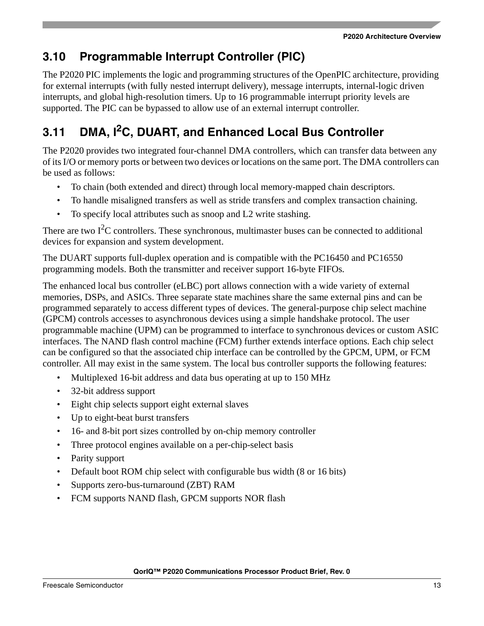# <span id="page-12-0"></span>**3.10 Programmable Interrupt Controller (PIC)**

The P2020 PIC implements the logic and programming structures of the OpenPIC architecture, providing for external interrupts (with fully nested interrupt delivery), message interrupts, internal-logic driven interrupts, and global high-resolution timers. Up to 16 programmable interrupt priority levels are supported. The PIC can be bypassed to allow use of an external interrupt controller.

# <span id="page-12-1"></span>**3.11 DMA, I2C, DUART, and Enhanced Local Bus Controller**

The P2020 provides two integrated four-channel DMA controllers, which can transfer data between any of its I/O or memory ports or between two devices or locations on the same port. The DMA controllers can be used as follows:

- To chain (both extended and direct) through local memory-mapped chain descriptors.
- To handle misaligned transfers as well as stride transfers and complex transaction chaining.
- To specify local attributes such as snoop and L2 write stashing.

There are two  $I^2C$  controllers. These synchronous, multimaster buses can be connected to additional devices for expansion and system development.

The DUART supports full-duplex operation and is compatible with the PC16450 and PC16550 programming models. Both the transmitter and receiver support 16-byte FIFOs.

The enhanced local bus controller (eLBC) port allows connection with a wide variety of external memories, DSPs, and ASICs. Three separate state machines share the same external pins and can be programmed separately to access different types of devices. The general-purpose chip select machine (GPCM) controls accesses to asynchronous devices using a simple handshake protocol. The user programmable machine (UPM) can be programmed to interface to synchronous devices or custom ASIC interfaces. The NAND flash control machine (FCM) further extends interface options. Each chip select can be configured so that the associated chip interface can be controlled by the GPCM, UPM, or FCM controller. All may exist in the same system. The local bus controller supports the following features:

- Multiplexed 16-bit address and data bus operating at up to 150 MHz
- 32-bit address support
- Eight chip selects support eight external slaves
- Up to eight-beat burst transfers
- 16- and 8-bit port sizes controlled by on-chip memory controller
- Three protocol engines available on a per-chip-select basis
- Parity support
- Default boot ROM chip select with configurable bus width (8 or 16 bits)
- Supports zero-bus-turnaround (ZBT) RAM
- FCM supports NAND flash, GPCM supports NOR flash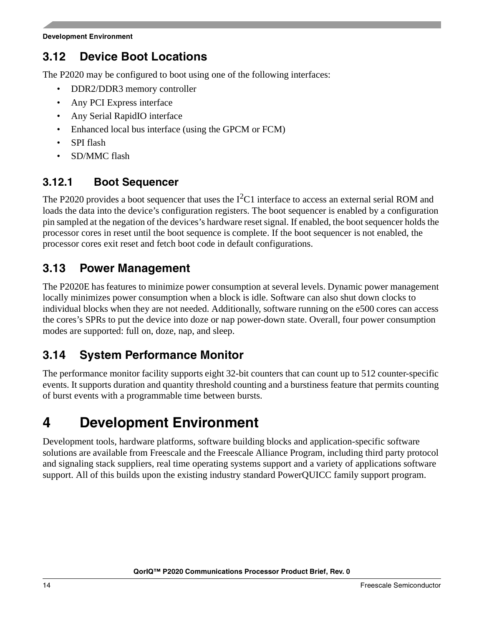### <span id="page-13-0"></span>**3.12 Device Boot Locations**

The P2020 may be configured to boot using one of the following interfaces:

- DDR2/DDR3 memory controller
- Any PCI Express interface
- Any Serial RapidIO interface
- Enhanced local bus interface (using the GPCM or FCM)
- SPI flash
- SD/MMC flash

#### **3.12.1 Boot Sequencer**

The P2020 provides a boot sequencer that uses the  $I^2C1$  interface to access an external serial ROM and loads the data into the device's configuration registers. The boot sequencer is enabled by a configuration pin sampled at the negation of the devices's hardware reset signal. If enabled, the boot sequencer holds the processor cores in reset until the boot sequence is complete. If the boot sequencer is not enabled, the processor cores exit reset and fetch boot code in default configurations.

#### <span id="page-13-1"></span>**3.13 Power Management**

The P2020E has features to minimize power consumption at several levels. Dynamic power management locally minimizes power consumption when a block is idle. Software can also shut down clocks to individual blocks when they are not needed. Additionally, software running on the e500 cores can access the cores's SPRs to put the device into doze or nap power-down state. Overall, four power consumption modes are supported: full on, doze, nap, and sleep.

#### <span id="page-13-2"></span>**3.14 System Performance Monitor**

The performance monitor facility supports eight 32-bit counters that can count up to 512 counter-specific events. It supports duration and quantity threshold counting and a burstiness feature that permits counting of burst events with a programmable time between bursts.

# <span id="page-13-3"></span>**4 Development Environment**

Development tools, hardware platforms, software building blocks and application-specific software solutions are available from Freescale and the Freescale Alliance Program, including third party protocol and signaling stack suppliers, real time operating systems support and a variety of applications software support. All of this builds upon the existing industry standard PowerQUICC family support program.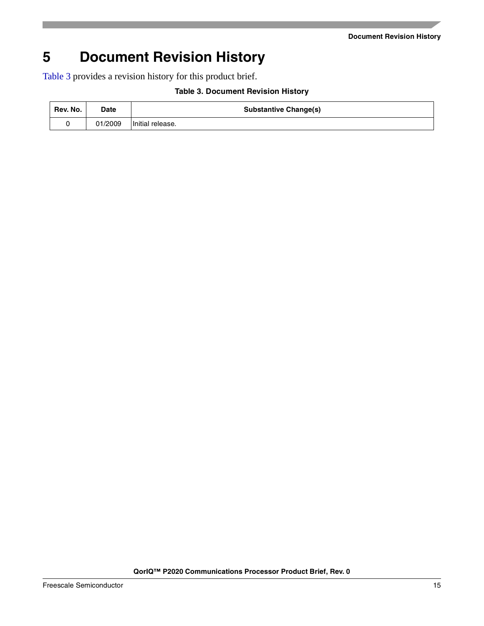**Document Revision History**

# <span id="page-14-0"></span>**5 Document Revision History**

<span id="page-14-1"></span>[Table 3](#page-14-1) provides a revision history for this product brief.

| Rev. No. | Date    | <b>Substantive Change(s)</b> |
|----------|---------|------------------------------|
|          | 01/2009 | Initial release.             |

#### **Table 3. Document Revision History**

**QorIQ™ P2020 Communications Processor Product Brief, Rev. 0**